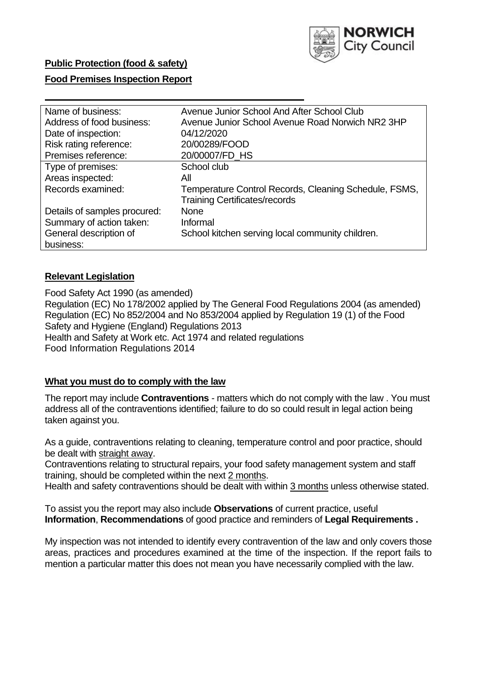

# **Public Protection (food & safety)**

### **Food Premises Inspection Report**

| Name of business:            | Avenue Junior School And After School Club            |
|------------------------------|-------------------------------------------------------|
| Address of food business:    | Avenue Junior School Avenue Road Norwich NR2 3HP      |
| Date of inspection:          | 04/12/2020                                            |
| Risk rating reference:       | 20/00289/FOOD                                         |
| Premises reference:          | 20/00007/FD HS                                        |
| Type of premises:            | School club                                           |
| Areas inspected:             | All                                                   |
| Records examined:            | Temperature Control Records, Cleaning Schedule, FSMS, |
|                              | <b>Training Certificates/records</b>                  |
| Details of samples procured: | <b>None</b>                                           |
| Summary of action taken:     | Informal                                              |
| General description of       | School kitchen serving local community children.      |
| business:                    |                                                       |

# **Relevant Legislation**

 Food Safety Act 1990 (as amended) Regulation (EC) No 178/2002 applied by The General Food Regulations 2004 (as amended) Regulation (EC) No 852/2004 and No 853/2004 applied by Regulation 19 (1) of the Food Safety and Hygiene (England) Regulations 2013 Health and Safety at Work etc. Act 1974 and related regulations Food Information Regulations 2014

### **What you must do to comply with the law**

 The report may include **Contraventions** - matters which do not comply with the law . You must address all of the contraventions identified; failure to do so could result in legal action being taken against you.

 As a guide, contraventions relating to cleaning, temperature control and poor practice, should be dealt with straight away.

 Contraventions relating to structural repairs, your food safety management system and staff training, should be completed within the next 2 months.

Health and safety contraventions should be dealt with within 3 months unless otherwise stated.

 To assist you the report may also include **Observations** of current practice, useful **Information**, **Recommendations** of good practice and reminders of **Legal Requirements .** 

 My inspection was not intended to identify every contravention of the law and only covers those areas, practices and procedures examined at the time of the inspection. If the report fails to mention a particular matter this does not mean you have necessarily complied with the law.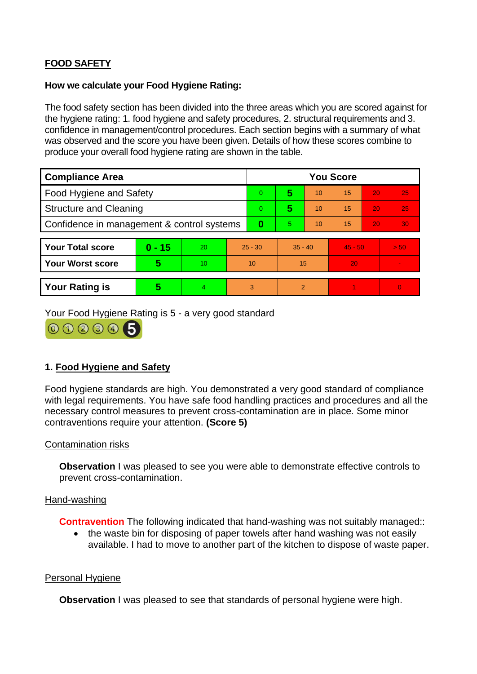# **FOOD SAFETY**

#### **How we calculate your Food Hygiene Rating:**

 The food safety section has been divided into the three areas which you are scored against for the hygiene rating: 1. food hygiene and safety procedures, 2. structural requirements and 3. confidence in management/control procedures. Each section begins with a summary of what was observed and the score you have been given. Details of how these scores combine to produce your overall food hygiene rating are shown in the table.

| <b>Compliance Area</b>                     |          |    |           | <b>You Score</b> |                |    |           |    |                |  |  |
|--------------------------------------------|----------|----|-----------|------------------|----------------|----|-----------|----|----------------|--|--|
| <b>Food Hygiene and Safety</b>             |          |    |           | $\overline{0}$   | 5              | 10 | 15        | 20 | 25             |  |  |
| <b>Structure and Cleaning</b>              |          |    | $\Omega$  | 5                | 10             | 15 | 20        | 25 |                |  |  |
| Confidence in management & control systems |          |    | 0         | 5                | 10             | 15 | 20        | 30 |                |  |  |
|                                            |          |    |           |                  |                |    |           |    |                |  |  |
| <b>Your Total score</b>                    | $0 - 15$ | 20 | $25 - 30$ |                  | $35 - 40$      |    | $45 - 50$ |    | > 50           |  |  |
| <b>Your Worst score</b>                    | 5        | 10 | 10        |                  | 15             |    | 20        |    |                |  |  |
|                                            |          |    |           |                  |                |    |           |    |                |  |  |
| <b>Your Rating is</b>                      | 5        | 4. | 3         |                  | $\overline{2}$ |    |           |    | $\overline{0}$ |  |  |

Your Food Hygiene Rating is 5 - a very good standard



# **1. Food Hygiene and Safety**

 with legal requirements. You have safe food handling practices and procedures and all the Food hygiene standards are high. You demonstrated a very good standard of compliance necessary control measures to prevent cross-contamination are in place. Some minor contraventions require your attention. **(Score 5)** 

### Contamination risks

**Observation** I was pleased to see you were able to demonstrate effective controls to prevent cross-contamination.

#### Hand-washing

**Contravention** The following indicated that hand-washing was not suitably managed:

 available. I had to move to another part of the kitchen to dispose of waste paper. • the waste bin for disposing of paper towels after hand washing was not easily

#### Personal Hygiene

**Observation** I was pleased to see that standards of personal hygiene were high.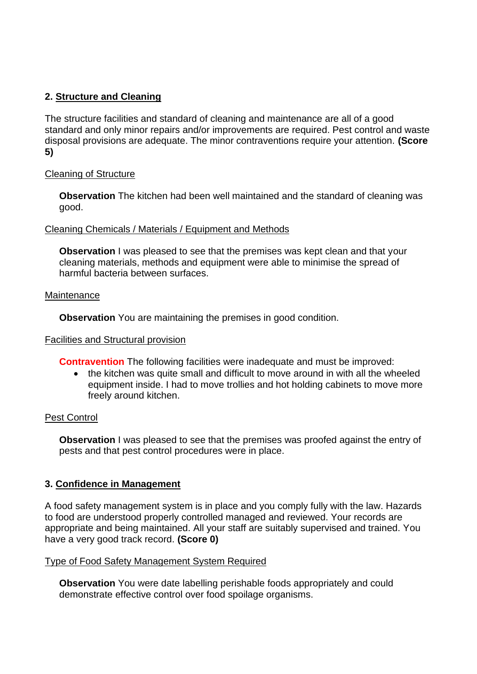# **2. Structure and Cleaning**

 The structure facilities and standard of cleaning and maintenance are all of a good standard and only minor repairs and/or improvements are required. Pest control and waste disposal provisions are adequate. The minor contraventions require your attention. **(Score 5)** 

# Cleaning of Structure

 **Observation** The kitchen had been well maintained and the standard of cleaning was good.

# Cleaning Chemicals / Materials / Equipment and Methods

**Observation** I was pleased to see that the premises was kept clean and that your cleaning materials, methods and equipment were able to minimise the spread of harmful bacteria between surfaces.

### Maintenance

**Observation** You are maintaining the premises in good condition.

### Facilities and Structural provision

**Contravention** The following facilities were inadequate and must be improved:

 • the kitchen was quite small and difficult to move around in with all the wheeled equipment inside. I had to move trollies and hot holding cabinets to move more freely around kitchen.

# Pest Control

**Observation** I was pleased to see that the premises was proofed against the entry of pests and that pest control procedures were in place.

# **3. Confidence in Management**

 appropriate and being maintained. All your staff are suitably supervised and trained. You A food safety management system is in place and you comply fully with the law. Hazards to food are understood properly controlled managed and reviewed. Your records are have a very good track record. **(Score 0)** 

### Type of Food Safety Management System Required

 demonstrate effective control over food spoilage organisms. **Observation** You were date labelling perishable foods appropriately and could